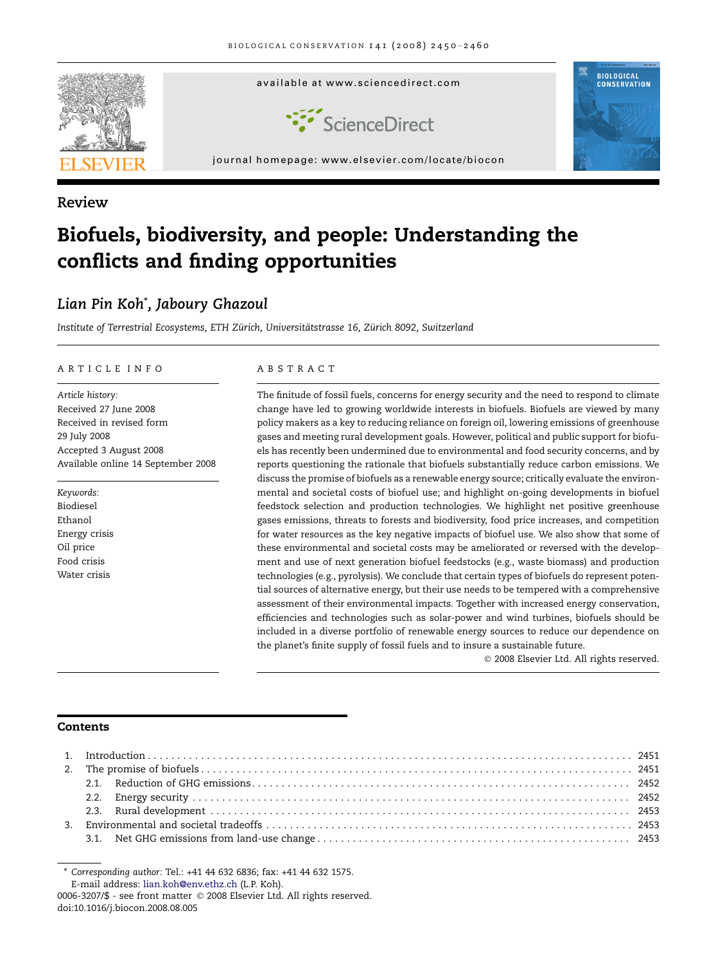

Review

# Biofuels, biodiversity, and people: Understanding the conflicts and finding opportunities

# Lian Pin Koh\* , Jaboury Ghazoul

Institute of Terrestrial Ecosystems, ETH Zürich, Universitätstrasse 16, Zürich 8092, Switzerland

#### ARTICLE INFO

Article history: Received 27 June 2008 Received in revised form 29 July 2008 Accepted 3 August 2008 Available online 14 September 2008

Keywords: Biodiesel Ethanol Energy crisis Oil price Food crisis Water crisis

#### ABSTRACT

The finitude of fossil fuels, concerns for energy security and the need to respond to climate change have led to growing worldwide interests in biofuels. Biofuels are viewed by many policy makers as a key to reducing reliance on foreign oil, lowering emissions of greenhouse gases and meeting rural development goals. However, political and public support for biofuels has recently been undermined due to environmental and food security concerns, and by reports questioning the rationale that biofuels substantially reduce carbon emissions. We discuss the promise of biofuels as a renewable energy source; critically evaluate the environmental and societal costs of biofuel use; and highlight on-going developments in biofuel feedstock selection and production technologies. We highlight net positive greenhouse gases emissions, threats to forests and biodiversity, food price increases, and competition for water resources as the key negative impacts of biofuel use. We also show that some of these environmental and societal costs may be ameliorated or reversed with the development and use of next generation biofuel feedstocks (e.g., waste biomass) and production technologies (e.g., pyrolysis). We conclude that certain types of biofuels do represent potential sources of alternative energy, but their use needs to be tempered with a comprehensive assessment of their environmental impacts. Together with increased energy conservation, efficiencies and technologies such as solar-power and wind turbines, biofuels should be included in a diverse portfolio of renewable energy sources to reduce our dependence on the planet's finite supply of fossil fuels and to insure a sustainable future.

© 2008 Elsevier Ltd. All rights reserved.

## **Contents**

Corresponding author: Tel.: +41 44 632 6836; fax: +41 44 632 1575. E-mail address: [lian.koh@env.ethz.ch](mailto:lian.koh@env.ethz.ch) (L.P. Koh).

<sup>0006-3207/\$ -</sup> see front matter © 2008 Elsevier Ltd. All rights reserved. doi:10.1016/j.biocon.2008.08.005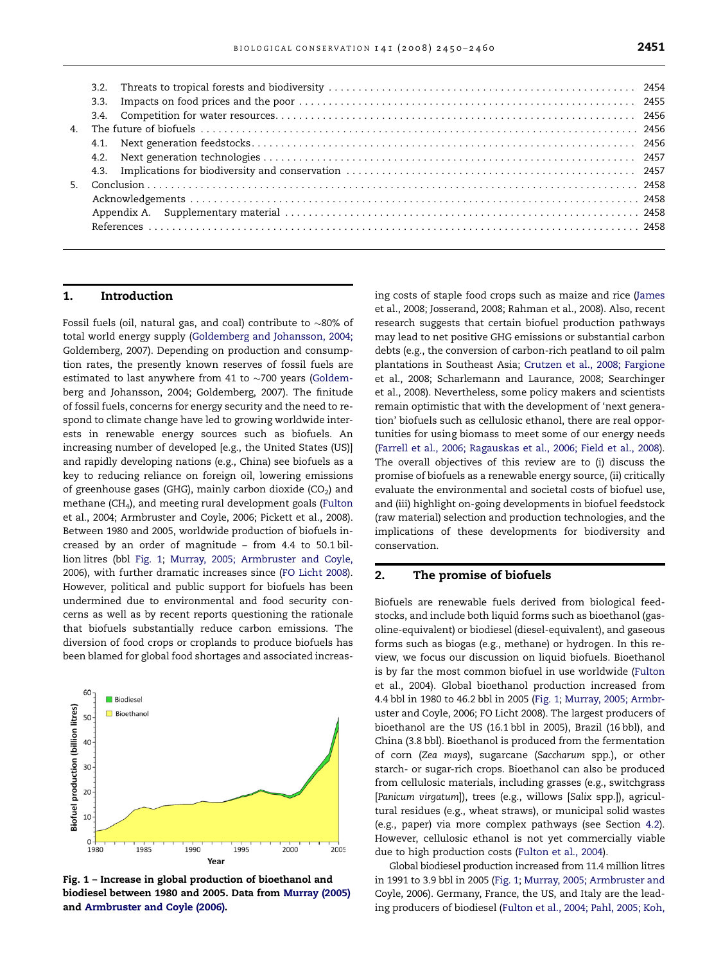#### 1. Introduction

Fossil fuels (oil, natural gas, and coal) contribute to  ${\sim}80\%$  of total world energy supply [\(Goldemberg and Johansson, 2004;](#page-9-0) [Goldemberg, 2007\)](#page-9-0). Depending on production and consumption rates, the presently known reserves of fossil fuels are estimated to last anywhere from 41 to  ${\sim}700$  years ([Goldem](#page-9-0)[berg and Johansson, 2004; Goldemberg, 2007\)](#page-9-0). The finitude of fossil fuels, concerns for energy security and the need to respond to climate change have led to growing worldwide interests in renewable energy sources such as biofuels. An increasing number of developed [e.g., the United States (US)] and rapidly developing nations (e.g., China) see biofuels as a key to reducing reliance on foreign oil, lowering emissions of greenhouse gases (GHG), mainly carbon dioxide (CO<sub>2</sub>) and methane (CH4), and meeting rural development goals ([Fulton](#page-9-0) [et al., 2004; Armbruster and Coyle, 2006; Pickett et al., 2008](#page-9-0)). Between 1980 and 2005, worldwide production of biofuels increased by an order of magnitude – from 4.4 to 50.1 billion litres (bbl Fig. 1; [Murray, 2005; Armbruster and Coyle,](#page-9-0) [2006](#page-9-0)), with further dramatic increases since ([FO Licht 2008](#page-9-0)). However, political and public support for biofuels has been undermined due to environmental and food security concerns as well as by recent reports questioning the rationale that biofuels substantially reduce carbon emissions. The diversion of food crops or croplands to produce biofuels has been blamed for global food shortages and associated increas-



Fig. 1 – Increase in global production of bioethanol and biodiesel between 1980 and 2005. Data from [Murray \(2005\)](#page-9-0) and [Armbruster and Coyle \(2006\)](#page-8-0).

ing costs of staple food crops such as maize and rice ([James](#page-9-0) [et al., 2008; Josserand, 2008; Rahman et al., 2008](#page-9-0)). Also, recent research suggests that certain biofuel production pathways may lead to net positive GHG emissions or substantial carbon debts (e.g., the conversion of carbon-rich peatland to oil palm plantations in Southeast Asia; [Crutzen et al., 2008; Fargione](#page-8-0) [et al., 2008; Scharlemann and Laurance, 2008; Searchinger](#page-8-0) [et al., 2008\)](#page-8-0). Nevertheless, some policy makers and scientists remain optimistic that with the development of 'next generation' biofuels such as cellulosic ethanol, there are real opportunities for using biomass to meet some of our energy needs [\(Farrell et al., 2006; Ragauskas et al., 2006; Field et al., 2008](#page-9-0)). The overall objectives of this review are to (i) discuss the promise of biofuels as a renewable energy source, (ii) critically evaluate the environmental and societal costs of biofuel use, and (iii) highlight on-going developments in biofuel feedstock (raw material) selection and production technologies, and the implications of these developments for biodiversity and conservation.

#### 2. The promise of biofuels

Biofuels are renewable fuels derived from biological feedstocks, and include both liquid forms such as bioethanol (gasoline-equivalent) or biodiesel (diesel-equivalent), and gaseous forms such as biogas (e.g., methane) or hydrogen. In this review, we focus our discussion on liquid biofuels. Bioethanol is by far the most common biofuel in use worldwide ([Fulton](#page-9-0) [et al., 2004\)](#page-9-0). Global bioethanol production increased from 4.4 bbl in 1980 to 46.2 bbl in 2005 (Fig. 1; [Murray, 2005; Armbr](#page-9-0)[uster and Coyle, 2006; FO Licht 2008](#page-9-0)). The largest producers of bioethanol are the US (16.1 bbl in 2005), Brazil (16 bbl), and China (3.8 bbl). Bioethanol is produced from the fermentation of corn (Zea mays), sugarcane (Saccharum spp.), or other starch- or sugar-rich crops. Bioethanol can also be produced from cellulosic materials, including grasses (e.g., switchgrass [Panicum virgatum]), trees (e.g., willows [Salix spp.]), agricultural residues (e.g., wheat straws), or municipal solid wastes (e.g., paper) via more complex pathways (see Section 4.2). However, cellulosic ethanol is not yet commercially viable due to high production costs [\(Fulton et al., 2004\)](#page-9-0).

Global biodiesel production increased from 11.4 million litres in 1991 to 3.9 bbl in 2005 (Fig. 1; [Murray, 2005; Armbruster and](#page-9-0) [Coyle, 2006\)](#page-9-0). Germany, France, the US, and Italy are the leading producers of biodiesel [\(Fulton et al., 2004; Pahl, 2005; Koh,](#page-9-0)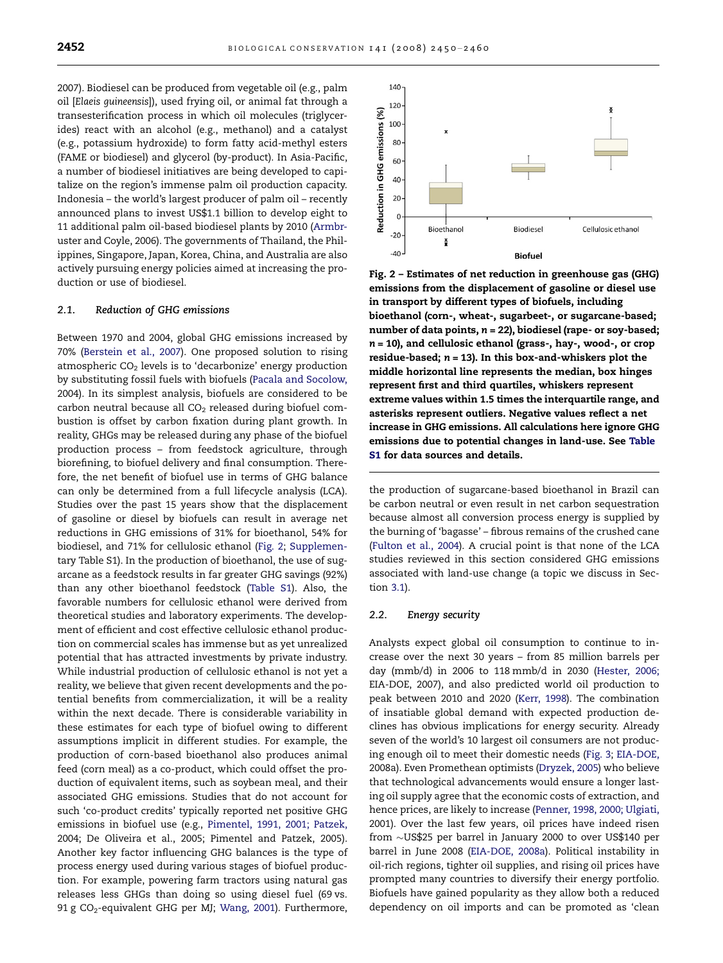[2007\)](#page-9-0). Biodiesel can be produced from vegetable oil (e.g., palm oil [Elaeis guineensis]), used frying oil, or animal fat through a transesterification process in which oil molecules (triglycerides) react with an alcohol (e.g., methanol) and a catalyst (e.g., potassium hydroxide) to form fatty acid-methyl esters (FAME or biodiesel) and glycerol (by-product). In Asia-Pacific, a number of biodiesel initiatives are being developed to capitalize on the region's immense palm oil production capacity. Indonesia – the world's largest producer of palm oil – recently announced plans to invest US\$1.1 billion to develop eight to 11 additional palm oil-based biodiesel plants by 2010 [\(Armbr](#page-8-0)[uster and Coyle, 2006\)](#page-8-0). The governments of Thailand, the Philippines, Singapore, Japan, Korea, China, and Australia are also actively pursuing energy policies aimed at increasing the production or use of biodiesel.

#### 2.1. Reduction of GHG emissions

Between 1970 and 2004, global GHG emissions increased by 70% ([Berstein et al., 2007](#page-8-0)). One proposed solution to rising atmospheric  $CO<sub>2</sub>$  levels is to 'decarbonize' energy production by substituting fossil fuels with biofuels [\(Pacala and Socolow,](#page-9-0) [2004\)](#page-9-0). In its simplest analysis, biofuels are considered to be carbon neutral because all  $CO<sub>2</sub>$  released during biofuel combustion is offset by carbon fixation during plant growth. In reality, GHGs may be released during any phase of the biofuel production process – from feedstock agriculture, through biorefining, to biofuel delivery and final consumption. Therefore, the net benefit of biofuel use in terms of GHG balance can only be determined from a full lifecycle analysis (LCA). Studies over the past 15 years show that the displacement of gasoline or diesel by biofuels can result in average net reductions in GHG emissions of 31% for bioethanol, 54% for biodiesel, and 71% for cellulosic ethanol (Fig. 2; Supplementary Table S1). In the production of bioethanol, the use of sugarcane as a feedstock results in far greater GHG savings (92%) than any other bioethanol feedstock (Table S1). Also, the favorable numbers for cellulosic ethanol were derived from theoretical studies and laboratory experiments. The development of efficient and cost effective cellulosic ethanol production on commercial scales has immense but as yet unrealized potential that has attracted investments by private industry. While industrial production of cellulosic ethanol is not yet a reality, we believe that given recent developments and the potential benefits from commercialization, it will be a reality within the next decade. There is considerable variability in these estimates for each type of biofuel owing to different assumptions implicit in different studies. For example, the production of corn-based bioethanol also produces animal feed (corn meal) as a co-product, which could offset the production of equivalent items, such as soybean meal, and their associated GHG emissions. Studies that do not account for such 'co-product credits' typically reported net positive GHG emissions in biofuel use (e.g., [Pimentel, 1991, 2001; Patzek,](#page-10-0) [2004; De Oliveira et al., 2005; Pimentel and Patzek, 2005\)](#page-10-0). Another key factor influencing GHG balances is the type of process energy used during various stages of biofuel production. For example, powering farm tractors using natural gas releases less GHGs than doing so using diesel fuel (69 vs. 91 g CO2-equivalent GHG per MJ; [Wang, 2001\)](#page-10-0). Furthermore,



Fig. 2 – Estimates of net reduction in greenhouse gas (GHG) emissions from the displacement of gasoline or diesel use in transport by different types of biofuels, including bioethanol (corn-, wheat-, sugarbeet-, or sugarcane-based; number of data points,  $n = 22$ ), biodiesel (rape- or soy-based;  $n = 10$ ), and cellulosic ethanol (grass-, hay-, wood-, or crop residue-based;  $n = 13$ ). In this box-and-whiskers plot the middle horizontal line represents the median, box hinges represent first and third quartiles, whiskers represent extreme values within 1.5 times the interquartile range, and asterisks represent outliers. Negative values reflect a net increase in GHG emissions. All calculations here ignore GHG emissions due to potential changes in land-use. See Table S1 for data sources and details.

the production of sugarcane-based bioethanol in Brazil can be carbon neutral or even result in net carbon sequestration because almost all conversion process energy is supplied by the burning of 'bagasse' – fibrous remains of the crushed cane ([Fulton et al., 2004](#page-9-0)). A crucial point is that none of the LCA studies reviewed in this section considered GHG emissions associated with land-use change (a topic we discuss in Section 3.1).

#### 2.2. Energy security

Analysts expect global oil consumption to continue to increase over the next 30 years – from 85 million barrels per day (mmb/d) in 2006 to 118 mmb/d in 2030 ([Hester, 2006;](#page-9-0) [EIA-DOE, 2007](#page-9-0)), and also predicted world oil production to peak between 2010 and 2020 ([Kerr, 1998\)](#page-9-0). The combination of insatiable global demand with expected production declines has obvious implications for energy security. Already seven of the world's 10 largest oil consumers are not producing enough oil to meet their domestic needs [\(Fig. 3](#page-3-0); [EIA-DOE,](#page-9-0) [2008a](#page-9-0)). Even Promethean optimists [\(Dryzek, 2005](#page-9-0)) who believe that technological advancements would ensure a longer lasting oil supply agree that the economic costs of extraction, and hence prices, are likely to increase [\(Penner, 1998, 2000; Ulgiati,](#page-9-0) [2001\)](#page-9-0). Over the last few years, oil prices have indeed risen from -US\$25 per barrel in January 2000 to over US\$140 per barrel in June 2008 ([EIA-DOE, 2008a](#page-9-0)). Political instability in oil-rich regions, tighter oil supplies, and rising oil prices have prompted many countries to diversify their energy portfolio. Biofuels have gained popularity as they allow both a reduced dependency on oil imports and can be promoted as 'clean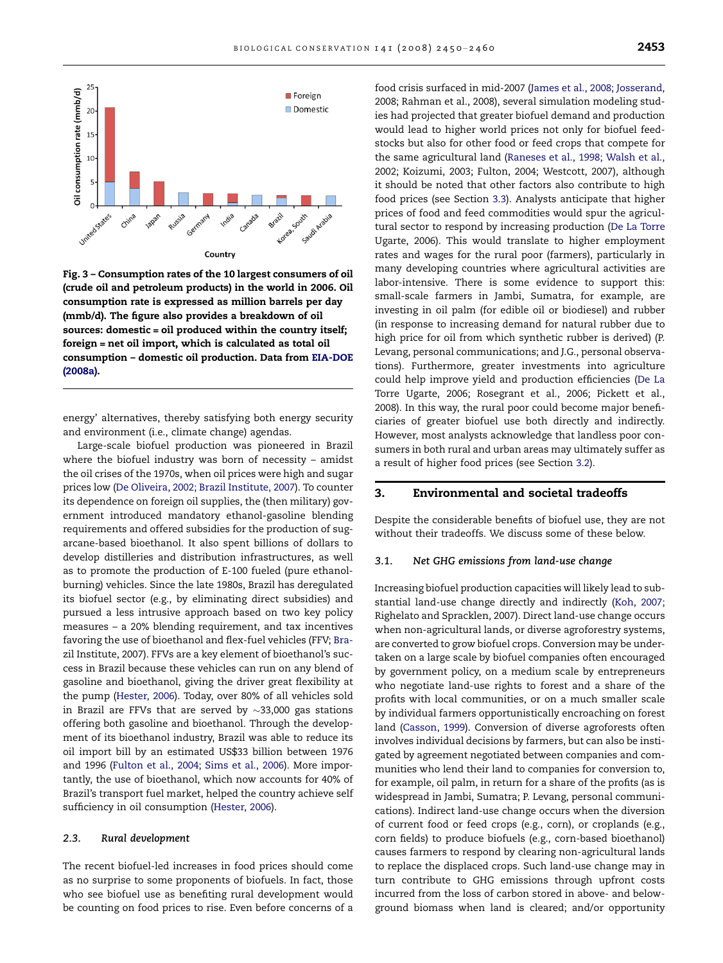<span id="page-3-0"></span>

Fig. 3 – Consumption rates of the 10 largest consumers of oil (crude oil and petroleum products) in the world in 2006. Oil consumption rate is expressed as million barrels per day (mmb/d). The figure also provides a breakdown of oil sources: domestic = oil produced within the country itself; foreign = net oil import, which is calculated as total oil consumption – domestic oil production. Data from [EIA-DOE](#page-9-0) [\(2008a\)](#page-9-0).

energy' alternatives, thereby satisfying both energy security and environment (i.e., climate change) agendas.

Large-scale biofuel production was pioneered in Brazil where the biofuel industry was born of necessity – amidst the oil crises of the 1970s, when oil prices were high and sugar prices low ([De Oliveira, 2002; Brazil Institute, 2007\)](#page-8-0). To counter its dependence on foreign oil supplies, the (then military) government introduced mandatory ethanol-gasoline blending requirements and offered subsidies for the production of sugarcane-based bioethanol. It also spent billions of dollars to develop distilleries and distribution infrastructures, as well as to promote the production of E-100 fueled (pure ethanolburning) vehicles. Since the late 1980s, Brazil has deregulated its biofuel sector (e.g., by eliminating direct subsidies) and pursued a less intrusive approach based on two key policy measures – a 20% blending requirement, and tax incentives favoring the use of bioethanol and flex-fuel vehicles (FFV; [Bra](#page-8-0)[zil Institute, 2007](#page-8-0)). FFVs are a key element of bioethanol's success in Brazil because these vehicles can run on any blend of gasoline and bioethanol, giving the driver great flexibility at the pump ([Hester, 2006\)](#page-9-0). Today, over 80% of all vehicles sold in Brazil are FFVs that are served by  $\sim$ 33,000 gas stations offering both gasoline and bioethanol. Through the development of its bioethanol industry, Brazil was able to reduce its oil import bill by an estimated US\$33 billion between 1976 and 1996 ([Fulton et al., 2004; Sims et al., 2006\)](#page-9-0). More importantly, the use of bioethanol, which now accounts for 40% of Brazil's transport fuel market, helped the country achieve self sufficiency in oil consumption [\(Hester, 2006\)](#page-9-0).

#### 2.3. Rural development

The recent biofuel-led increases in food prices should come as no surprise to some proponents of biofuels. In fact, those who see biofuel use as benefiting rural development would be counting on food prices to rise. Even before concerns of a

food crisis surfaced in mid-2007 ([James et al., 2008; Josserand,](#page-9-0) [2008; Rahman et al., 2008](#page-9-0)), several simulation modeling studies had projected that greater biofuel demand and production would lead to higher world prices not only for biofuel feedstocks but also for other food or feed crops that compete for the same agricultural land [\(Raneses et al., 1998; Walsh et al.,](#page-10-0) [2002; Koizumi, 2003; Fulton, 2004; Westcott, 2007\)](#page-10-0), although it should be noted that other factors also contribute to high food prices (see Section 3.3). Analysts anticipate that higher prices of food and feed commodities would spur the agricultural sector to respond by increasing production [\(De La Torre](#page-8-0) [Ugarte, 2006\)](#page-8-0). This would translate to higher employment rates and wages for the rural poor (farmers), particularly in many developing countries where agricultural activities are labor-intensive. There is some evidence to support this: small-scale farmers in Jambi, Sumatra, for example, are investing in oil palm (for edible oil or biodiesel) and rubber (in response to increasing demand for natural rubber due to high price for oil from which synthetic rubber is derived) (P. Levang, personal communications; and J.G., personal observations). Furthermore, greater investments into agriculture could help improve yield and production efficiencies [\(De La](#page-8-0) [Torre Ugarte, 2006; Rosegrant et al., 2006; Pickett et al.,](#page-8-0) [2008](#page-8-0)). In this way, the rural poor could become major beneficiaries of greater biofuel use both directly and indirectly. However, most analysts acknowledge that landless poor consumers in both rural and urban areas may ultimately suffer as a result of higher food prices (see Section 3.2).

#### 3. Environmental and societal tradeoffs

Despite the considerable benefits of biofuel use, they are not without their tradeoffs. We discuss some of these below.

#### 3.1. Net GHG emissions from land-use change

Increasing biofuel production capacities will likely lead to substantial land-use change directly and indirectly ([Koh, 2007;](#page-9-0) [Righelato and Spracklen, 2007](#page-9-0)). Direct land-use change occurs when non-agricultural lands, or diverse agroforestry systems, are converted to grow biofuel crops. Conversion may be undertaken on a large scale by biofuel companies often encouraged by government policy, on a medium scale by entrepreneurs who negotiate land-use rights to forest and a share of the profits with local communities, or on a much smaller scale by individual farmers opportunistically encroaching on forest land [\(Casson, 1999](#page-8-0)). Conversion of diverse agroforests often involves individual decisions by farmers, but can also be instigated by agreement negotiated between companies and communities who lend their land to companies for conversion to, for example, oil palm, in return for a share of the profits (as is widespread in Jambi, Sumatra; P. Levang, personal communications). Indirect land-use change occurs when the diversion of current food or feed crops (e.g., corn), or croplands (e.g., corn fields) to produce biofuels (e.g., corn-based bioethanol) causes farmers to respond by clearing non-agricultural lands to replace the displaced crops. Such land-use change may in turn contribute to GHG emissions through upfront costs incurred from the loss of carbon stored in above- and belowground biomass when land is cleared; and/or opportunity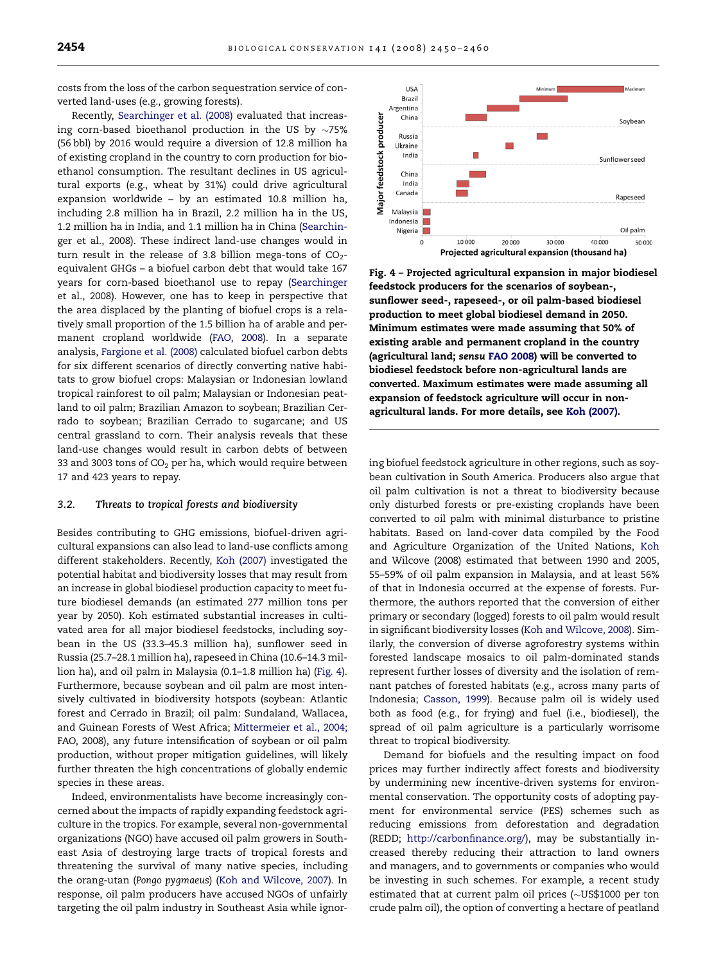costs from the loss of the carbon sequestration service of converted land-uses (e.g., growing forests).

Recently, [Searchinger et al. \(2008\)](#page-10-0) evaluated that increasing corn-based bioethanol production in the US by  ${\sim}75\%$ (56 bbl) by 2016 would require a diversion of 12.8 million ha of existing cropland in the country to corn production for bioethanol consumption. The resultant declines in US agricultural exports (e.g., wheat by 31%) could drive agricultural expansion worldwide – by an estimated 10.8 million ha, including 2.8 million ha in Brazil, 2.2 million ha in the US, 1.2 million ha in India, and 1.1 million ha in China [\(Searchin](#page-10-0)[ger et al., 2008](#page-10-0)). These indirect land-use changes would in turn result in the release of 3.8 billion mega-tons of  $CO<sub>2</sub>$ equivalent GHGs – a biofuel carbon debt that would take 167 years for corn-based bioethanol use to repay ([Searchinger](#page-10-0) [et al., 2008\)](#page-10-0). However, one has to keep in perspective that the area displaced by the planting of biofuel crops is a relatively small proportion of the 1.5 billion ha of arable and permanent cropland worldwide [\(FAO, 2008\)](#page-9-0). In a separate analysis, [Fargione et al. \(2008\)](#page-9-0) calculated biofuel carbon debts for six different scenarios of directly converting native habitats to grow biofuel crops: Malaysian or Indonesian lowland tropical rainforest to oil palm; Malaysian or Indonesian peatland to oil palm; Brazilian Amazon to soybean; Brazilian Cerrado to soybean; Brazilian Cerrado to sugarcane; and US central grassland to corn. Their analysis reveals that these land-use changes would result in carbon debts of between 33 and 3003 tons of  $CO<sub>2</sub>$  per ha, which would require between 17 and 423 years to repay.

#### 3.2. Threats to tropical forests and biodiversity

Besides contributing to GHG emissions, biofuel-driven agricultural expansions can also lead to land-use conflicts among different stakeholders. Recently, [Koh \(2007\)](#page-9-0) investigated the potential habitat and biodiversity losses that may result from an increase in global biodiesel production capacity to meet future biodiesel demands (an estimated 277 million tons per year by 2050). Koh estimated substantial increases in cultivated area for all major biodiesel feedstocks, including soybean in the US (33.3–45.3 million ha), sunflower seed in Russia (25.7–28.1 million ha), rapeseed in China (10.6–14.3 million ha), and oil palm in Malaysia (0.1–1.8 million ha) (Fig. 4). Furthermore, because soybean and oil palm are most intensively cultivated in biodiversity hotspots (soybean: Atlantic forest and Cerrado in Brazil; oil palm: Sundaland, Wallacea, and Guinean Forests of West Africa; [Mittermeier et al., 2004;](#page-9-0) [FAO, 2008](#page-9-0)), any future intensification of soybean or oil palm production, without proper mitigation guidelines, will likely further threaten the high concentrations of globally endemic species in these areas.

Indeed, environmentalists have become increasingly concerned about the impacts of rapidly expanding feedstock agriculture in the tropics. For example, several non-governmental organizations (NGO) have accused oil palm growers in Southeast Asia of destroying large tracts of tropical forests and threatening the survival of many native species, including the orang-utan (Pongo pygmaeus) ([Koh and Wilcove, 2007\)](#page-9-0). In response, oil palm producers have accused NGOs of unfairly targeting the oil palm industry in Southeast Asia while ignor-



Fig. 4 – Projected agricultural expansion in major biodiesel feedstock producers for the scenarios of soybean-, sunflower seed-, rapeseed-, or oil palm-based biodiesel production to meet global biodiesel demand in 2050. Minimum estimates were made assuming that 50% of existing arable and permanent cropland in the country (agricultural land; sensu [FAO 2008](#page-9-0)) will be converted to biodiesel feedstock before non-agricultural lands are converted. Maximum estimates were made assuming all expansion of feedstock agriculture will occur in nonagricultural lands. For more details, see [Koh \(2007\).](#page-9-0)

ing biofuel feedstock agriculture in other regions, such as soybean cultivation in South America. Producers also argue that oil palm cultivation is not a threat to biodiversity because only disturbed forests or pre-existing croplands have been converted to oil palm with minimal disturbance to pristine habitats. Based on land-cover data compiled by the Food and Agriculture Organization of the United Nations, [Koh](#page-9-0) [and Wilcove \(2008\)](#page-9-0) estimated that between 1990 and 2005, 55–59% of oil palm expansion in Malaysia, and at least 56% of that in Indonesia occurred at the expense of forests. Furthermore, the authors reported that the conversion of either primary or secondary (logged) forests to oil palm would result in significant biodiversity losses ([Koh and Wilcove, 2008](#page-9-0)). Similarly, the conversion of diverse agroforestry systems within forested landscape mosaics to oil palm-dominated stands represent further losses of diversity and the isolation of remnant patches of forested habitats (e.g., across many parts of Indonesia; [Casson, 1999](#page-8-0)). Because palm oil is widely used both as food (e.g., for frying) and fuel (i.e., biodiesel), the spread of oil palm agriculture is a particularly worrisome threat to tropical biodiversity.

Demand for biofuels and the resulting impact on food prices may further indirectly affect forests and biodiversity by undermining new incentive-driven systems for environmental conservation. The opportunity costs of adopting payment for environmental service (PES) schemes such as reducing emissions from deforestation and degradation (REDD; [http://carbonfinance.org/\)](http://carbonfinance.org/), may be substantially increased thereby reducing their attraction to land owners and managers, and to governments or companies who would be investing in such schemes. For example, a recent study estimated that at current palm oil prices ( $\sim$ US\$1000 per ton crude palm oil), the option of converting a hectare of peatland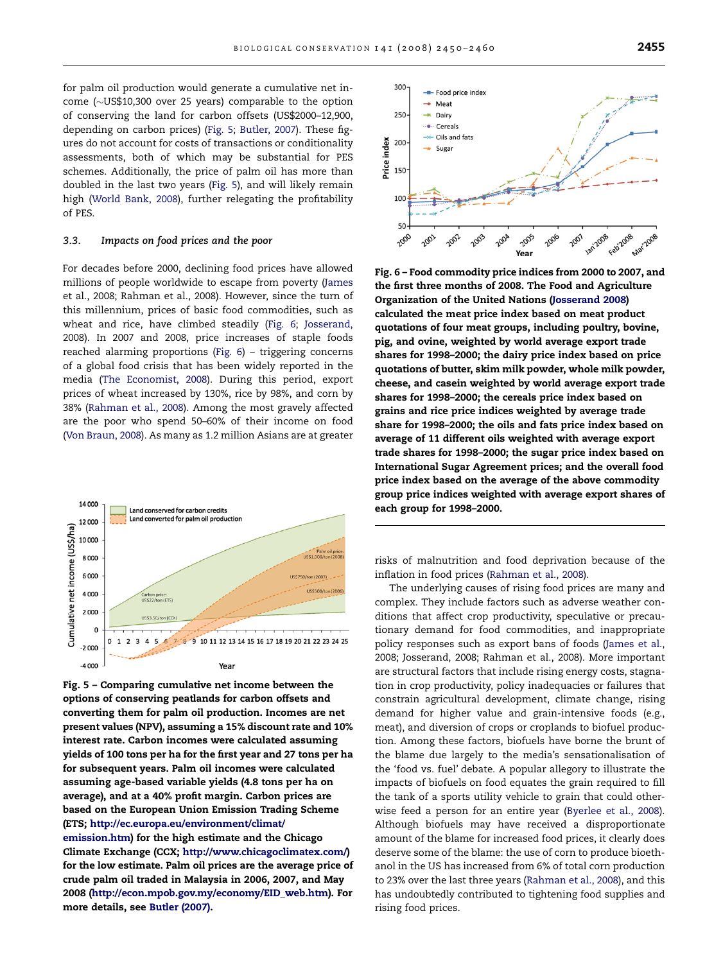for palm oil production would generate a cumulative net income (-US\$10,300 over 25 years) comparable to the option of conserving the land for carbon offsets (US\$2000–12,900, depending on carbon prices) (Fig. 5; [Butler, 2007\)](#page-8-0). These figures do not account for costs of transactions or conditionality assessments, both of which may be substantial for PES schemes. Additionally, the price of palm oil has more than doubled in the last two years (Fig. 5), and will likely remain high ([World Bank, 2008](#page-10-0)), further relegating the profitability of PES.

#### 3.3. Impacts on food prices and the poor

For decades before 2000, declining food prices have allowed millions of people worldwide to escape from poverty ([James](#page-9-0) [et al., 2008; Rahman et al., 2008\)](#page-9-0). However, since the turn of this millennium, prices of basic food commodities, such as wheat and rice, have climbed steadily (Fig. 6; [Josserand,](#page-9-0) [2008](#page-9-0)). In 2007 and 2008, price increases of staple foods reached alarming proportions (Fig. 6) – triggering concerns of a global food crisis that has been widely reported in the media [\(The Economist, 2008\)](#page-10-0). During this period, export prices of wheat increased by 130%, rice by 98%, and corn by 38% ([Rahman et al., 2008](#page-10-0)). Among the most gravely affected are the poor who spend 50–60% of their income on food [\(Von Braun, 2008](#page-10-0)). As many as 1.2 million Asians are at greater



Fig. 5 – Comparing cumulative net income between the options of conserving peatlands for carbon offsets and converting them for palm oil production. Incomes are net present values (NPV), assuming a 15% discount rate and 10% interest rate. Carbon incomes were calculated assuming yields of 100 tons per ha for the first year and 27 tons per ha for subsequent years. Palm oil incomes were calculated assuming age-based variable yields (4.8 tons per ha on average), and at a 40% profit margin. Carbon prices are based on the European Union Emission Trading Scheme (ETS; [http://ec.europa.eu/environment/climat/](http://ec.europa.eu/environment/climat/emission.htm) [emission.htm\)](http://ec.europa.eu/environment/climat/emission.htm) for the high estimate and the Chicago Climate Exchange (CCX; [http://www.chicagoclimatex.com/\)](http://www.chicagoclimatex.com/) for the low estimate. Palm oil prices are the average price of crude palm oil traded in Malaysia in 2006, 2007, and May 2008 ([http://econ.mpob.gov.my/economy/EID\\_web.htm\)](http://econ.mpob.gov.my/economy/EID_web.htm). For more details, see [Butler \(2007\)](#page-8-0).



Fig. 6 – Food commodity price indices from 2000 to 2007, and the first three months of 2008. The Food and Agriculture Organization of the United Nations [\(Josserand 2008](#page-9-0)) calculated the meat price index based on meat product quotations of four meat groups, including poultry, bovine, pig, and ovine, weighted by world average export trade shares for 1998–2000; the dairy price index based on price quotations of butter, skim milk powder, whole milk powder, cheese, and casein weighted by world average export trade shares for 1998–2000; the cereals price index based on grains and rice price indices weighted by average trade share for 1998–2000; the oils and fats price index based on average of 11 different oils weighted with average export trade shares for 1998–2000; the sugar price index based on International Sugar Agreement prices; and the overall food price index based on the average of the above commodity group price indices weighted with average export shares of each group for 1998–2000.

risks of malnutrition and food deprivation because of the inflation in food prices ([Rahman et al., 2008\)](#page-10-0).

The underlying causes of rising food prices are many and complex. They include factors such as adverse weather conditions that affect crop productivity, speculative or precautionary demand for food commodities, and inappropriate policy responses such as export bans of foods [\(James et al.,](#page-9-0) [2008; Josserand, 2008; Rahman et al., 2008](#page-9-0)). More important are structural factors that include rising energy costs, stagnation in crop productivity, policy inadequacies or failures that constrain agricultural development, climate change, rising demand for higher value and grain-intensive foods (e.g., meat), and diversion of crops or croplands to biofuel production. Among these factors, biofuels have borne the brunt of the blame due largely to the media's sensationalisation of the 'food vs. fuel' debate. A popular allegory to illustrate the impacts of biofuels on food equates the grain required to fill the tank of a sports utility vehicle to grain that could otherwise feed a person for an entire year [\(Byerlee et al., 2008](#page-8-0)). Although biofuels may have received a disproportionate amount of the blame for increased food prices, it clearly does deserve some of the blame: the use of corn to produce bioethanol in the US has increased from 6% of total corn production to 23% over the last three years ([Rahman et al., 2008](#page-10-0)), and this has undoubtedly contributed to tightening food supplies and rising food prices.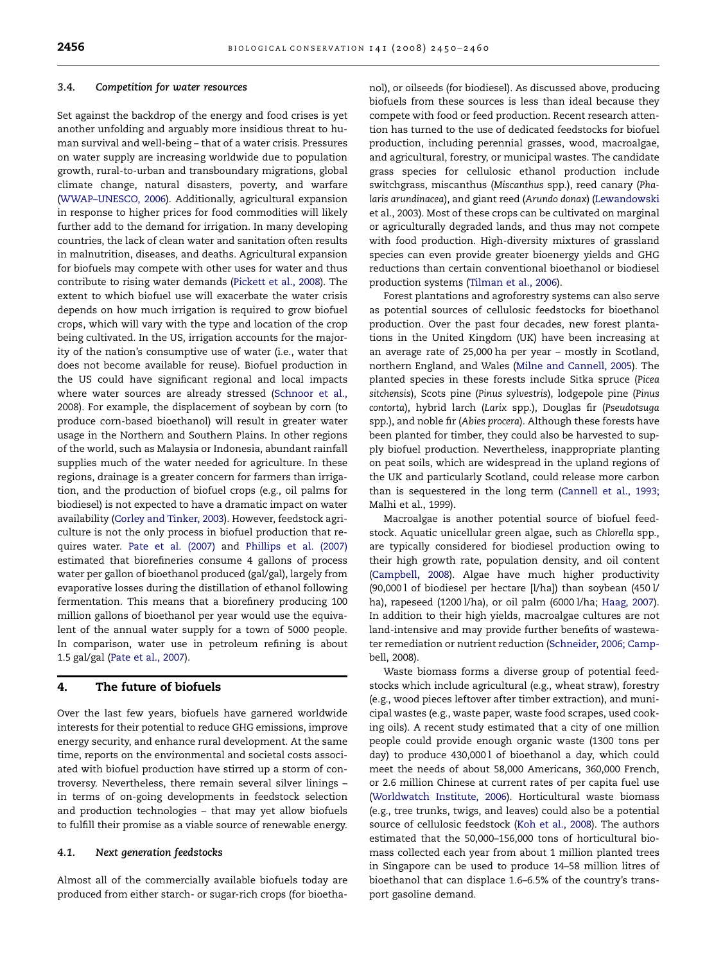#### 3.4. Competition for water resources

Set against the backdrop of the energy and food crises is yet another unfolding and arguably more insidious threat to human survival and well-being – that of a water crisis. Pressures on water supply are increasing worldwide due to population growth, rural-to-urban and transboundary migrations, global climate change, natural disasters, poverty, and warfare ([WWAP–UNESCO, 2006\)](#page-10-0). Additionally, agricultural expansion in response to higher prices for food commodities will likely further add to the demand for irrigation. In many developing countries, the lack of clean water and sanitation often results in malnutrition, diseases, and deaths. Agricultural expansion for biofuels may compete with other uses for water and thus contribute to rising water demands [\(Pickett et al., 2008\)](#page-10-0). The extent to which biofuel use will exacerbate the water crisis depends on how much irrigation is required to grow biofuel crops, which will vary with the type and location of the crop being cultivated. In the US, irrigation accounts for the majority of the nation's consumptive use of water (i.e., water that does not become available for reuse). Biofuel production in the US could have significant regional and local impacts where water sources are already stressed [\(Schnoor et al.,](#page-10-0) [2008\)](#page-10-0). For example, the displacement of soybean by corn (to produce corn-based bioethanol) will result in greater water usage in the Northern and Southern Plains. In other regions of the world, such as Malaysia or Indonesia, abundant rainfall supplies much of the water needed for agriculture. In these regions, drainage is a greater concern for farmers than irrigation, and the production of biofuel crops (e.g., oil palms for biodiesel) is not expected to have a dramatic impact on water availability [\(Corley and Tinker, 2003](#page-8-0)). However, feedstock agriculture is not the only process in biofuel production that requires water. [Pate et al. \(2007\)](#page-9-0) and [Phillips et al. \(2007\)](#page-10-0) estimated that biorefineries consume 4 gallons of process water per gallon of bioethanol produced (gal/gal), largely from evaporative losses during the distillation of ethanol following fermentation. This means that a biorefinery producing 100 million gallons of bioethanol per year would use the equivalent of the annual water supply for a town of 5000 people. In comparison, water use in petroleum refining is about 1.5 gal/gal [\(Pate et al., 2007](#page-9-0)).

#### 4. The future of biofuels

Over the last few years, biofuels have garnered worldwide interests for their potential to reduce GHG emissions, improve energy security, and enhance rural development. At the same time, reports on the environmental and societal costs associated with biofuel production have stirred up a storm of controversy. Nevertheless, there remain several silver linings – in terms of on-going developments in feedstock selection and production technologies – that may yet allow biofuels to fulfill their promise as a viable source of renewable energy.

#### 4.1. Next generation feedstocks

Almost all of the commercially available biofuels today are produced from either starch- or sugar-rich crops (for bioethanol), or oilseeds (for biodiesel). As discussed above, producing biofuels from these sources is less than ideal because they compete with food or feed production. Recent research attention has turned to the use of dedicated feedstocks for biofuel production, including perennial grasses, wood, macroalgae, and agricultural, forestry, or municipal wastes. The candidate grass species for cellulosic ethanol production include switchgrass, miscanthus (Miscanthus spp.), reed canary (Phalaris arundinacea), and giant reed (Arundo donax) [\(Lewandowski](#page-9-0) [et al., 2003\)](#page-9-0). Most of these crops can be cultivated on marginal or agriculturally degraded lands, and thus may not compete with food production. High-diversity mixtures of grassland species can even provide greater bioenergy yields and GHG reductions than certain conventional bioethanol or biodiesel production systems ([Tilman et al., 2006\)](#page-10-0).

Forest plantations and agroforestry systems can also serve as potential sources of cellulosic feedstocks for bioethanol production. Over the past four decades, new forest plantations in the United Kingdom (UK) have been increasing at an average rate of 25,000 ha per year – mostly in Scotland, northern England, and Wales [\(Milne and Cannell, 2005\)](#page-9-0). The planted species in these forests include Sitka spruce (Picea sitchensis), Scots pine (Pinus sylvestris), lodgepole pine (Pinus contorta), hybrid larch (Larix spp.), Douglas fir (Pseudotsuga spp.), and noble fir (Abies procera). Although these forests have been planted for timber, they could also be harvested to supply biofuel production. Nevertheless, inappropriate planting on peat soils, which are widespread in the upland regions of the UK and particularly Scotland, could release more carbon than is sequestered in the long term ([Cannell et al., 1993;](#page-8-0) [Malhi et al., 1999](#page-8-0)).

Macroalgae is another potential source of biofuel feedstock. Aquatic unicellular green algae, such as Chlorella spp., are typically considered for biodiesel production owing to their high growth rate, population density, and oil content ([Campbell, 2008](#page-8-0)). Algae have much higher productivity (90,000 l of biodiesel per hectare [l/ha]) than soybean (450 l/ ha), rapeseed (1200 l/ha), or oil palm (6000 l/ha; [Haag, 2007\)](#page-9-0). In addition to their high yields, macroalgae cultures are not land-intensive and may provide further benefits of wastewater remediation or nutrient reduction ([Schneider, 2006; Camp](#page-10-0)[bell, 2008\)](#page-10-0).

Waste biomass forms a diverse group of potential feedstocks which include agricultural (e.g., wheat straw), forestry (e.g., wood pieces leftover after timber extraction), and municipal wastes (e.g., waste paper, waste food scrapes, used cooking oils). A recent study estimated that a city of one million people could provide enough organic waste (1300 tons per day) to produce 430,000 l of bioethanol a day, which could meet the needs of about 58,000 Americans, 360,000 French, or 2.6 million Chinese at current rates of per capita fuel use ([Worldwatch Institute, 2006](#page-10-0)). Horticultural waste biomass (e.g., tree trunks, twigs, and leaves) could also be a potential source of cellulosic feedstock [\(Koh et al., 2008](#page-9-0)). The authors estimated that the 50,000–156,000 tons of horticultural biomass collected each year from about 1 million planted trees in Singapore can be used to produce 14–58 million litres of bioethanol that can displace 1.6–6.5% of the country's transport gasoline demand.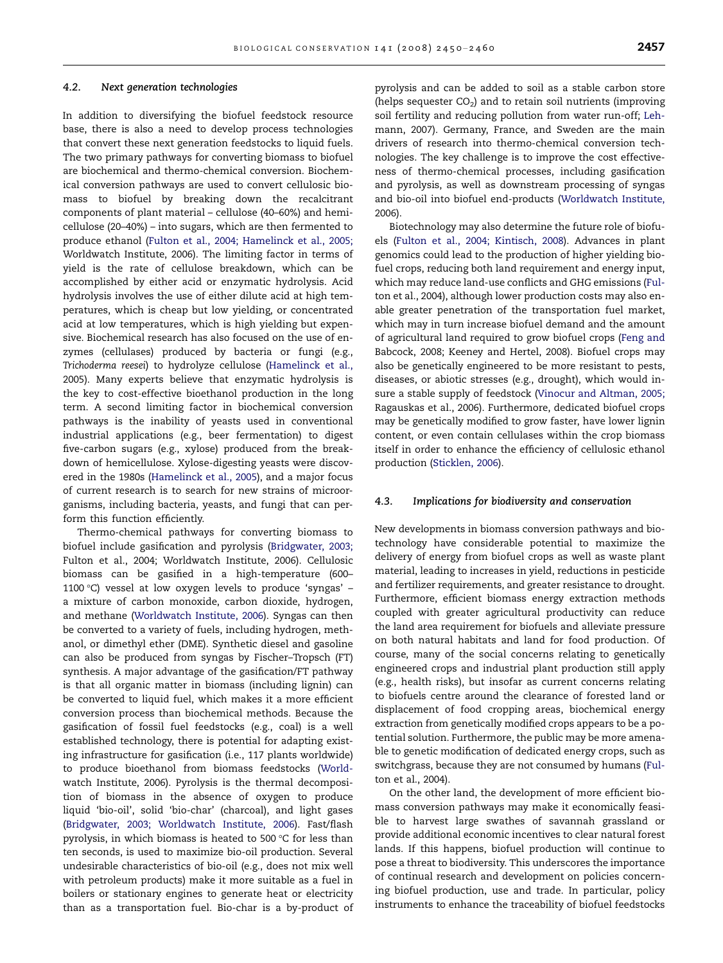#### 4.2. Next generation technologies

In addition to diversifying the biofuel feedstock resource base, there is also a need to develop process technologies that convert these next generation feedstocks to liquid fuels. The two primary pathways for converting biomass to biofuel are biochemical and thermo-chemical conversion. Biochemical conversion pathways are used to convert cellulosic biomass to biofuel by breaking down the recalcitrant components of plant material – cellulose (40–60%) and hemicellulose (20–40%) – into sugars, which are then fermented to produce ethanol ([Fulton et al., 2004; Hamelinck et al., 2005;](#page-9-0) [Worldwatch Institute, 2006\)](#page-9-0). The limiting factor in terms of yield is the rate of cellulose breakdown, which can be accomplished by either acid or enzymatic hydrolysis. Acid hydrolysis involves the use of either dilute acid at high temperatures, which is cheap but low yielding, or concentrated acid at low temperatures, which is high yielding but expensive. Biochemical research has also focused on the use of enzymes (cellulases) produced by bacteria or fungi (e.g., Trichoderma reesei) to hydrolyze cellulose ([Hamelinck et al.,](#page-9-0) [2005](#page-9-0)). Many experts believe that enzymatic hydrolysis is the key to cost-effective bioethanol production in the long term. A second limiting factor in biochemical conversion pathways is the inability of yeasts used in conventional industrial applications (e.g., beer fermentation) to digest five-carbon sugars (e.g., xylose) produced from the breakdown of hemicellulose. Xylose-digesting yeasts were discovered in the 1980s ([Hamelinck et al., 2005\)](#page-9-0), and a major focus of current research is to search for new strains of microorganisms, including bacteria, yeasts, and fungi that can perform this function efficiently.

Thermo-chemical pathways for converting biomass to biofuel include gasification and pyrolysis [\(Bridgwater, 2003;](#page-8-0) [Fulton et al., 2004; Worldwatch Institute, 2006\)](#page-8-0). Cellulosic biomass can be gasified in a high-temperature (600– 1100 $\degree$ C) vessel at low oxygen levels to produce 'syngas' – a mixture of carbon monoxide, carbon dioxide, hydrogen, and methane ([Worldwatch Institute, 2006](#page-10-0)). Syngas can then be converted to a variety of fuels, including hydrogen, methanol, or dimethyl ether (DME). Synthetic diesel and gasoline can also be produced from syngas by Fischer–Tropsch (FT) synthesis. A major advantage of the gasification/FT pathway is that all organic matter in biomass (including lignin) can be converted to liquid fuel, which makes it a more efficient conversion process than biochemical methods. Because the gasification of fossil fuel feedstocks (e.g., coal) is a well established technology, there is potential for adapting existing infrastructure for gasification (i.e., 117 plants worldwide) to produce bioethanol from biomass feedstocks [\(World](#page-10-0)[watch Institute, 2006](#page-10-0)). Pyrolysis is the thermal decomposition of biomass in the absence of oxygen to produce liquid 'bio-oil', solid 'bio-char' (charcoal), and light gases [\(Bridgwater, 2003; Worldwatch Institute, 2006\)](#page-8-0). Fast/flash pyrolysis, in which biomass is heated to 500 °C for less than ten seconds, is used to maximize bio-oil production. Several undesirable characteristics of bio-oil (e.g., does not mix well with petroleum products) make it more suitable as a fuel in boilers or stationary engines to generate heat or electricity than as a transportation fuel. Bio-char is a by-product of pyrolysis and can be added to soil as a stable carbon store (helps sequester  $CO<sub>2</sub>$ ) and to retain soil nutrients (improving soil fertility and reducing pollution from water run-off; [Leh](#page-9-0)[mann, 2007](#page-9-0)). Germany, France, and Sweden are the main drivers of research into thermo-chemical conversion technologies. The key challenge is to improve the cost effectiveness of thermo-chemical processes, including gasification and pyrolysis, as well as downstream processing of syngas and bio-oil into biofuel end-products [\(Worldwatch Institute,](#page-10-0) [2006](#page-10-0)).

Biotechnology may also determine the future role of biofuels ([Fulton et al., 2004; Kintisch, 2008](#page-9-0)). Advances in plant genomics could lead to the production of higher yielding biofuel crops, reducing both land requirement and energy input, which may reduce land-use conflicts and GHG emissions ([Ful](#page-9-0)[ton et al., 2004\)](#page-9-0), although lower production costs may also enable greater penetration of the transportation fuel market, which may in turn increase biofuel demand and the amount of agricultural land required to grow biofuel crops [\(Feng and](#page-9-0) [Babcock, 2008; Keeney and Hertel, 2008](#page-9-0)). Biofuel crops may also be genetically engineered to be more resistant to pests, diseases, or abiotic stresses (e.g., drought), which would insure a stable supply of feedstock [\(Vinocur and Altman, 2005;](#page-10-0) [Ragauskas et al., 2006\)](#page-10-0). Furthermore, dedicated biofuel crops may be genetically modified to grow faster, have lower lignin content, or even contain cellulases within the crop biomass itself in order to enhance the efficiency of cellulosic ethanol production ([Sticklen, 2006\)](#page-10-0).

#### 4.3. Implications for biodiversity and conservation

New developments in biomass conversion pathways and biotechnology have considerable potential to maximize the delivery of energy from biofuel crops as well as waste plant material, leading to increases in yield, reductions in pesticide and fertilizer requirements, and greater resistance to drought. Furthermore, efficient biomass energy extraction methods coupled with greater agricultural productivity can reduce the land area requirement for biofuels and alleviate pressure on both natural habitats and land for food production. Of course, many of the social concerns relating to genetically engineered crops and industrial plant production still apply (e.g., health risks), but insofar as current concerns relating to biofuels centre around the clearance of forested land or displacement of food cropping areas, biochemical energy extraction from genetically modified crops appears to be a potential solution. Furthermore, the public may be more amenable to genetic modification of dedicated energy crops, such as switchgrass, because they are not consumed by humans ([Ful](#page-9-0)[ton et al., 2004](#page-9-0)).

On the other land, the development of more efficient biomass conversion pathways may make it economically feasible to harvest large swathes of savannah grassland or provide additional economic incentives to clear natural forest lands. If this happens, biofuel production will continue to pose a threat to biodiversity. This underscores the importance of continual research and development on policies concerning biofuel production, use and trade. In particular, policy instruments to enhance the traceability of biofuel feedstocks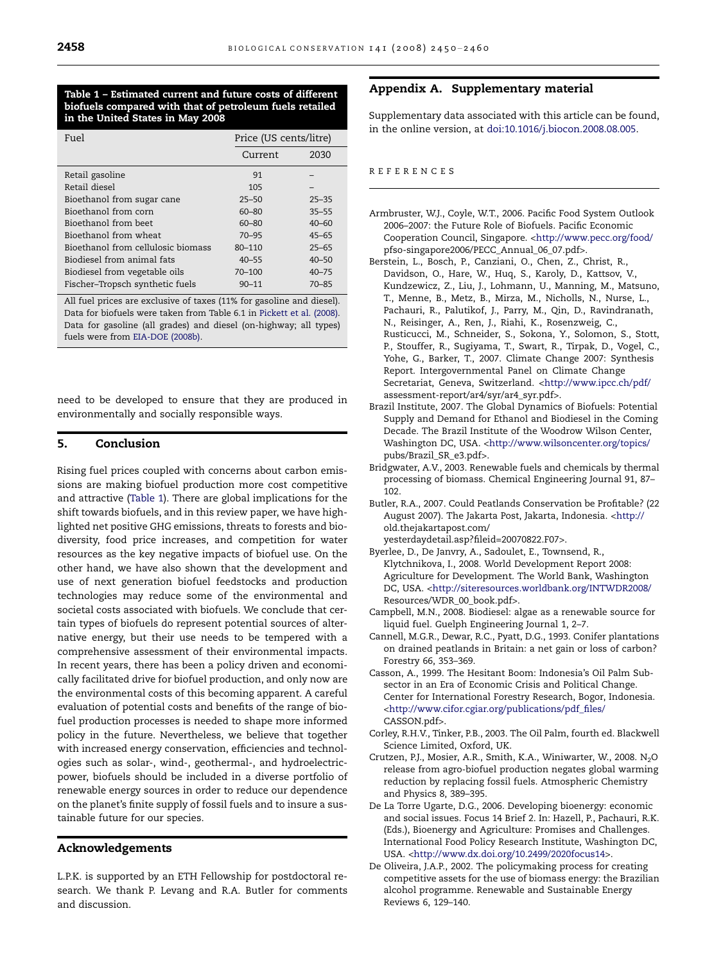#### <span id="page-8-0"></span>Table 1 – Estimated current and future costs of different biofuels compared with that of petroleum fuels retailed in the United States in May 2008

| Fuel                               | Price (US cents/litre) |           |
|------------------------------------|------------------------|-----------|
|                                    | Current                | 2030      |
| Retail gasoline                    | 91                     |           |
| Retail diesel                      | 105                    |           |
| Bioethanol from sugar cane         | $25 - 50$              | $25 - 35$ |
| Bioethanol from corn               | $60 - 80$              | $35 - 55$ |
| Bioethanol from beet               | $60 - 80$              | $40 - 60$ |
| Bioethanol from wheat              | $70 - 95$              | $45 - 65$ |
| Bioethanol from cellulosic biomass | 80-110                 | $25 - 65$ |
| Biodiesel from animal fats         | $40 - 55$              | $40 - 50$ |
| Biodiesel from vegetable oils      | $70 - 100$             | $40 - 75$ |
| Fischer-Tropsch synthetic fuels    | $90 - 11$              | $70 - 85$ |

All fuel prices are exclusive of taxes (11% for gasoline and diesel). Data for biofuels were taken from Table 6.1 in [Pickett et al. \(2008\)](#page-10-0). Data for gasoline (all grades) and diesel (on-highway; all types) fuels were from [EIA-DOE \(2008b\).](#page-9-0)

need to be developed to ensure that they are produced in environmentally and socially responsible ways.

## 5. Conclusion

Rising fuel prices coupled with concerns about carbon emissions are making biofuel production more cost competitive and attractive (Table 1). There are global implications for the shift towards biofuels, and in this review paper, we have highlighted net positive GHG emissions, threats to forests and biodiversity, food price increases, and competition for water resources as the key negative impacts of biofuel use. On the other hand, we have also shown that the development and use of next generation biofuel feedstocks and production technologies may reduce some of the environmental and societal costs associated with biofuels. We conclude that certain types of biofuels do represent potential sources of alternative energy, but their use needs to be tempered with a comprehensive assessment of their environmental impacts. In recent years, there has been a policy driven and economically facilitated drive for biofuel production, and only now are the environmental costs of this becoming apparent. A careful evaluation of potential costs and benefits of the range of biofuel production processes is needed to shape more informed policy in the future. Nevertheless, we believe that together with increased energy conservation, efficiencies and technologies such as solar-, wind-, geothermal-, and hydroelectricpower, biofuels should be included in a diverse portfolio of renewable energy sources in order to reduce our dependence on the planet's finite supply of fossil fuels and to insure a sustainable future for our species.

#### Acknowledgements

L.P.K. is supported by an ETH Fellowship for postdoctoral research. We thank P. Levang and R.A. Butler for comments and discussion.

# Appendix A. Supplementary material

Supplementary data associated with this article can be found, in the online version, at [doi:10.1016/j.biocon.2008.08.005](http://dx.doi.org/10.1016/j.biocon.2008.08.005).

#### REFERENCES

- Armbruster, W.J., Coyle, W.T., 2006. Pacific Food System Outlook 2006–2007: the Future Role of Biofuels. Pacific Economic Cooperation Council, Singapore. <[http://www.pecc.org/food/](http://www.pecc.org/food/pfso-singapore2006/PECC_Annual_06_07.pdf) [pfso-singapore2006/PECC\\_Annual\\_06\\_07.pdf>](http://www.pecc.org/food/pfso-singapore2006/PECC_Annual_06_07.pdf).
- Berstein, L., Bosch, P., Canziani, O., Chen, Z., Christ, R., Davidson, O., Hare, W., Huq, S., Karoly, D., Kattsov, V., Kundzewicz, Z., Liu, J., Lohmann, U., Manning, M., Matsuno, T., Menne, B., Metz, B., Mirza, M., Nicholls, N., Nurse, L., Pachauri, R., Palutikof, J., Parry, M., Qin, D., Ravindranath, N., Reisinger, A., Ren, J., Riahi, K., Rosenzweig, C., Rusticucci, M., Schneider, S., Sokona, Y., Solomon, S., Stott, P., Stouffer, R., Sugiyama, T., Swart, R., Tirpak, D., Vogel, C., Yohe, G., Barker, T., 2007. Climate Change 2007: Synthesis Report. Intergovernmental Panel on Climate Change Secretariat, Geneva, Switzerland. <[http://www.ipcc.ch/pdf/](http://www.ipcc.ch/pdf/assessment-report/ar4/syr/ar4_syr.pdf) [assessment-report/ar4/syr/ar4\\_syr.pdf](http://www.ipcc.ch/pdf/assessment-report/ar4/syr/ar4_syr.pdf)>.
- Brazil Institute, 2007. The Global Dynamics of Biofuels: Potential Supply and Demand for Ethanol and Biodiesel in the Coming Decade. The Brazil Institute of the Woodrow Wilson Center, Washington DC, USA. [<http://www.wilsoncenter.org/topics/](http://www.wilsoncenter.org/topics/pubs/Brazil_SR_e3.pdf) [pubs/Brazil\\_SR\\_e3.pdf>](http://www.wilsoncenter.org/topics/pubs/Brazil_SR_e3.pdf).
- Bridgwater, A.V., 2003. Renewable fuels and chemicals by thermal processing of biomass. Chemical Engineering Journal 91, 87– 102.
- Butler, R.A., 2007. Could Peatlands Conservation be Profitable? (22 August 2007). The Jakarta Post, Jakarta, Indonesia. <[http://](http://old.thejakartapost.com/yesterdaydetail.asp?fileid=20070822.F07) [old.thejakartapost.com/](http://old.thejakartapost.com/yesterdaydetail.asp?fileid=20070822.F07) [yesterdaydetail.asp?fileid=20070822.F07>](http://old.thejakartapost.com/yesterdaydetail.asp?fileid=20070822.F07).
- Byerlee, D., De Janvry, A., Sadoulet, E., Townsend, R., Klytchnikova, I., 2008. World Development Report 2008: Agriculture for Development. The World Bank, Washington DC, USA. [<http://siteresources.worldbank.org/INTWDR2008/](http://siteresources.worldbank.org/INTWDR2008/Resources/WDR_00_book.pdf) [Resources/WDR\\_00\\_book.pdf](http://siteresources.worldbank.org/INTWDR2008/Resources/WDR_00_book.pdf)>.
- Campbell, M.N., 2008. Biodiesel: algae as a renewable source for liquid fuel. Guelph Engineering Journal 1, 2–7.
- Cannell, M.G.R., Dewar, R.C., Pyatt, D.G., 1993. Conifer plantations on drained peatlands in Britain: a net gain or loss of carbon? Forestry 66, 353–369.
- Casson, A., 1999. The Hesitant Boom: Indonesia's Oil Palm Subsector in an Era of Economic Crisis and Political Change. Center for International Forestry Research, Bogor, Indonesia. <[http://www.cifor.cgiar.org/publications/pdf\\_files/](http://www.cifor.cgiar.org/publications/pdf_files/CASSON.pdf) [CASSON.pdf](http://www.cifor.cgiar.org/publications/pdf_files/CASSON.pdf)>.
- Corley, R.H.V., Tinker, P.B., 2003. The Oil Palm, fourth ed. Blackwell Science Limited, Oxford, UK.
- Crutzen, P.J., Mosier, A.R., Smith, K.A., Winiwarter, W., 2008.  $N_2O$ release from agro-biofuel production negates global warming reduction by replacing fossil fuels. Atmospheric Chemistry and Physics 8, 389–395.
- De La Torre Ugarte, D.G., 2006. Developing bioenergy: economic and social issues. Focus 14 Brief 2. In: Hazell, P., Pachauri, R.K. (Eds.), Bioenergy and Agriculture: Promises and Challenges. International Food Policy Research Institute, Washington DC, USA. [<http://www.dx.doi.org/10.2499/2020focus14>](http://www.dx.doi.org/10.2499/2020focus14).
- De Oliveira, J.A.P., 2002. The policymaking process for creating competitive assets for the use of biomass energy: the Brazilian alcohol programme. Renewable and Sustainable Energy Reviews 6, 129–140.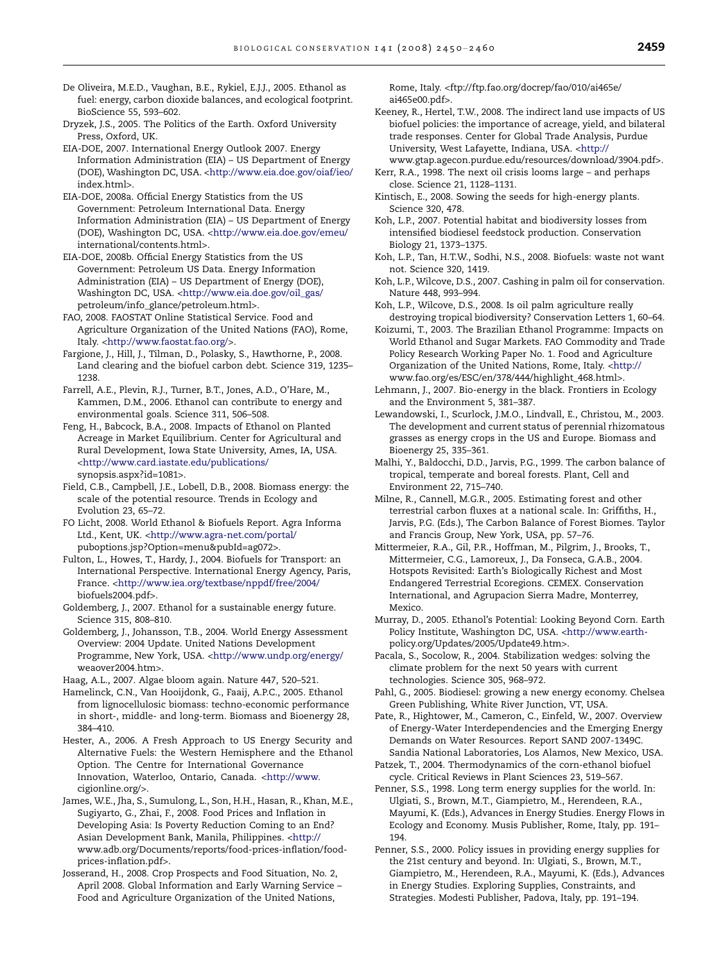- <span id="page-9-0"></span>De Oliveira, M.E.D., Vaughan, B.E., Rykiel, E.J.J., 2005. Ethanol as fuel: energy, carbon dioxide balances, and ecological footprint. BioScience 55, 593–602.
- Dryzek, J.S., 2005. The Politics of the Earth. Oxford University Press, Oxford, UK.
- EIA-DOE, 2007. International Energy Outlook 2007. Energy Information Administration (EIA) – US Department of Energy (DOE), Washington DC, USA. <[http://www.eia.doe.gov/oiaf/ieo/](http://www.eia.doe.gov/oiaf/ieo/index.html) [index.html](http://www.eia.doe.gov/oiaf/ieo/index.html)>.
- EIA-DOE, 2008a. Official Energy Statistics from the US Government: Petroleum International Data. Energy Information Administration (EIA) – US Department of Energy (DOE), Washington DC, USA. <[http://www.eia.doe.gov/emeu/](http://www.eia.doe.gov/emeu/international/contents.html) [international/contents.html](http://www.eia.doe.gov/emeu/international/contents.html)>.
- EIA-DOE, 2008b. Official Energy Statistics from the US Government: Petroleum US Data. Energy Information Administration (EIA) – US Department of Energy (DOE), Washington DC, USA. <[http://www.eia.doe.gov/oil\\_gas/](http://www.eia.doe.gov/oil_gas/petroleum/info_glance/petroleum.html) [petroleum/info\\_glance/petroleum.html](http://www.eia.doe.gov/oil_gas/petroleum/info_glance/petroleum.html)>.
- FAO, 2008. FAOSTAT Online Statistical Service. Food and Agriculture Organization of the United Nations (FAO), Rome, Italy. [<http://www.faostat.fao.org/](http://www.faostat.fao.org/)>.
- Fargione, J., Hill, J., Tilman, D., Polasky, S., Hawthorne, P., 2008. Land clearing and the biofuel carbon debt. Science 319, 1235– 1238.
- Farrell, A.E., Plevin, R.J., Turner, B.T., Jones, A.D., O'Hare, M., Kammen, D.M., 2006. Ethanol can contribute to energy and environmental goals. Science 311, 506–508.
- Feng, H., Babcock, B.A., 2008. Impacts of Ethanol on Planted Acreage in Market Equilibrium. Center for Agricultural and Rural Development, Iowa State University, Ames, IA, USA. [<http://www.card.iastate.edu/publications/](http://www.card.iastate.edu/publications/synopsis.aspx?id=1081) [synopsis.aspx?id=1081>](http://www.card.iastate.edu/publications/synopsis.aspx?id=1081).
- Field, C.B., Campbell, J.E., Lobell, D.B., 2008. Biomass energy: the scale of the potential resource. Trends in Ecology and Evolution 23, 65–72.
- FO Licht, 2008. World Ethanol & Biofuels Report. Agra Informa Ltd., Kent, UK. [<http://www.agra-net.com/portal/](http://www.agra-net.com/portal/puboptions.jsp?Option=menu&pubId=ag072) [puboptions.jsp?Option=menu&pubId=ag072>](http://www.agra-net.com/portal/puboptions.jsp?Option=menu&pubId=ag072).
- Fulton, L., Howes, T., Hardy, J., 2004. Biofuels for Transport: an International Perspective. International Energy Agency, Paris, France. [<http://www.iea.org/textbase/nppdf/free/2004/](http://www.iea.org/textbase/nppdf/free/2004/biofuels2004.pdf) [biofuels2004.pdf>](http://www.iea.org/textbase/nppdf/free/2004/biofuels2004.pdf).
- Goldemberg, J., 2007. Ethanol for a sustainable energy future. Science 315, 808–810.
- Goldemberg, J., Johansson, T.B., 2004. World Energy Assessment Overview: 2004 Update. United Nations Development Programme, New York, USA. <[http://www.undp.org/energy/](http://www.undp.org/energy/weaover2004.htm) [weaover2004.htm>](http://www.undp.org/energy/weaover2004.htm).
- Haag, A.L., 2007. Algae bloom again. Nature 447, 520–521.
- Hamelinck, C.N., Van Hooijdonk, G., Faaij, A.P.C., 2005. Ethanol from lignocellulosic biomass: techno-economic performance in short-, middle- and long-term. Biomass and Bioenergy 28, 384–410.
- Hester, A., 2006. A Fresh Approach to US Energy Security and Alternative Fuels: the Western Hemisphere and the Ethanol Option. The Centre for International Governance Innovation, Waterloo, Ontario, Canada. <[http://www.](http://www.cigionline.org/) [cigionline.org/](http://www.cigionline.org/)>.
- James, W.E., Jha, S., Sumulong, L., Son, H.H., Hasan, R., Khan, M.E., Sugiyarto, G., Zhai, F., 2008. Food Prices and Inflation in Developing Asia: Is Poverty Reduction Coming to an End? Asian Development Bank, Manila, Philippines. [<http://](http://www.adb.org/Documents/reports/food-prices-inflation/food-prices-inflation.pdf) [www.adb.org/Documents/reports/food-prices-inflation/food](http://www.adb.org/Documents/reports/food-prices-inflation/food-prices-inflation.pdf)[prices-inflation.pdf](http://www.adb.org/Documents/reports/food-prices-inflation/food-prices-inflation.pdf)>.
- Josserand, H., 2008. Crop Prospects and Food Situation, No. 2, April 2008. Global Information and Early Warning Service – Food and Agriculture Organization of the United Nations,

Rome, Italy. <ftp://ftp.fao.org/docrep/fao/010/ai465e/ ai465e00.pdf>.

- Keeney, R., Hertel, T.W., 2008. The indirect land use impacts of US biofuel policies: the importance of acreage, yield, and bilateral trade responses. Center for Global Trade Analysis, Purdue University, West Lafayette, Indiana, USA. <[http://](http://www.gtap.agecon.purdue.edu/resources/download/3904.pdf)
- [www.gtap.agecon.purdue.edu/resources/download/3904.pdf](http://www.gtap.agecon.purdue.edu/resources/download/3904.pdf)>. Kerr, R.A., 1998. The next oil crisis looms large – and perhaps close. Science 21, 1128–1131.
- Kintisch, E., 2008. Sowing the seeds for high-energy plants. Science 320, 478.
- Koh, L.P., 2007. Potential habitat and biodiversity losses from intensified biodiesel feedstock production. Conservation Biology 21, 1373–1375.
- Koh, L.P., Tan, H.T.W., Sodhi, N.S., 2008. Biofuels: waste not want not. Science 320, 1419.
- Koh, L.P., Wilcove, D.S., 2007. Cashing in palm oil for conservation. Nature 448, 993–994.
- Koh, L.P., Wilcove, D.S., 2008. Is oil palm agriculture really destroying tropical biodiversity? Conservation Letters 1, 60–64.
- Koizumi, T., 2003. The Brazilian Ethanol Programme: Impacts on World Ethanol and Sugar Markets. FAO Commodity and Trade Policy Research Working Paper No. 1. Food and Agriculture Organization of the United Nations, Rome, Italy. [<http://](http://www.fao.org/es/ESC/en/378/444/highlight_468.html) [www.fao.org/es/ESC/en/378/444/highlight\\_468.html>](http://www.fao.org/es/ESC/en/378/444/highlight_468.html).
- Lehmann, J., 2007. Bio-energy in the black. Frontiers in Ecology and the Environment 5, 381–387.
- Lewandowski, I., Scurlock, J.M.O., Lindvall, E., Christou, M., 2003. The development and current status of perennial rhizomatous grasses as energy crops in the US and Europe. Biomass and Bioenergy 25, 335–361.
- Malhi, Y., Baldocchi, D.D., Jarvis, P.G., 1999. The carbon balance of tropical, temperate and boreal forests. Plant, Cell and Environment 22, 715–740.
- Milne, R., Cannell, M.G.R., 2005. Estimating forest and other terrestrial carbon fluxes at a national scale. In: Griffiths, H., Jarvis, P.G. (Eds.), The Carbon Balance of Forest Biomes. Taylor and Francis Group, New York, USA, pp. 57–76.
- Mittermeier, R.A., Gil, P.R., Hoffman, M., Pilgrim, J., Brooks, T., Mittermeier, C.G., Lamoreux, J., Da Fonseca, G.A.B., 2004. Hotspots Revisited: Earth's Biologically Richest and Most Endangered Terrestrial Ecoregions. CEMEX. Conservation International, and Agrupacion Sierra Madre, Monterrey, Mexico.
- Murray, D., 2005. Ethanol's Potential: Looking Beyond Corn. Earth Policy Institute, Washington DC, USA. [<http://www.earth](http://www.earth-policy.org/Updates/2005/Update49.htm)[policy.org/Updates/2005/Update49.htm>](http://www.earth-policy.org/Updates/2005/Update49.htm).
- Pacala, S., Socolow, R., 2004. Stabilization wedges: solving the climate problem for the next 50 years with current technologies. Science 305, 968–972.
- Pahl, G., 2005. Biodiesel: growing a new energy economy. Chelsea Green Publishing, White River Junction, VT, USA.
- Pate, R., Hightower, M., Cameron, C., Einfeld, W., 2007. Overview of Energy-Water Interdependencies and the Emerging Energy Demands on Water Resources. Report SAND 2007-1349C. Sandia National Laboratories, Los Alamos, New Mexico, USA.
- Patzek, T., 2004. Thermodynamics of the corn-ethanol biofuel cycle. Critical Reviews in Plant Sciences 23, 519–567.
- Penner, S.S., 1998. Long term energy supplies for the world. In: Ulgiati, S., Brown, M.T., Giampietro, M., Herendeen, R.A., Mayumi, K. (Eds.), Advances in Energy Studies. Energy Flows in Ecology and Economy. Musis Publisher, Rome, Italy, pp. 191– 194.

Penner, S.S., 2000. Policy issues in providing energy supplies for the 21st century and beyond. In: Ulgiati, S., Brown, M.T., Giampietro, M., Herendeen, R.A., Mayumi, K. (Eds.), Advances in Energy Studies. Exploring Supplies, Constraints, and Strategies. Modesti Publisher, Padova, Italy, pp. 191–194.